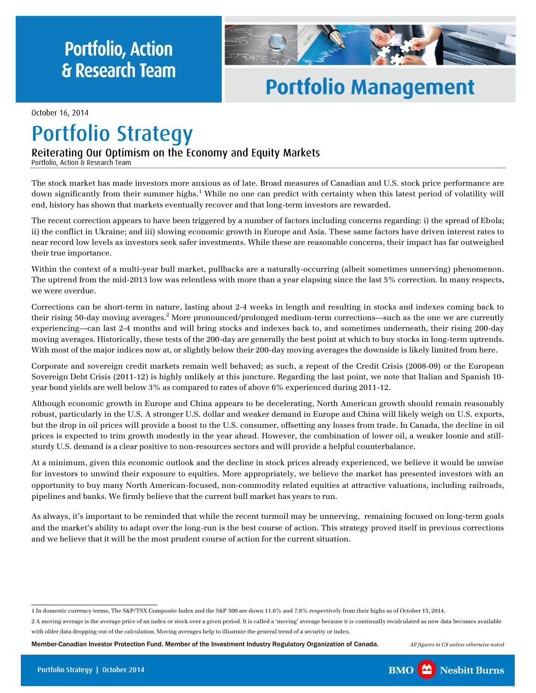## **Portfolio, Action fir Research Team**



## **Portfolio Management Portfolio Management**

October 16, 2014

# **Portfolio Strategy**

### Reiterating Our Optimism on the Economy and Equity Markets

Portfolio, Action & Research Team

The stock market has made investors more anxious as of late. Broad measures of Canadian and U.S. stock price performance are down significantly from their summer highs.<sup>1</sup> While no one can predict with certainty when this latest period of volatility will end, history has shown that markets eventually recover and that long-term investors are rewarded.

The recent correction appears to have been triggered by a number of factors including concerns regarding: i) the spread of Ebola; ii) the conflict in Ukraine; and iii) slowing economic growth in Europe and Asia. These same factors have driven interest rates to near record low levels as investors seek safer investments. While these are reasonable concerns, their impact has far outweighed their true importance.

Within the context of a multi-year bull market, pullbacks are a naturally-occurring (albeit sometimes unnerving) phenomenon. The uptrend from the mid-2013 low was relentless with more than a year elapsing since the last 5% correction. In many respects, we were overdue.

Corrections can be short-term in nature, lasting about 2-4 weeks in length and resulting in stocks and indexes coming back to their rising 50-day moving averages.<sup>2</sup> More pronounced/prolonged medium-term corrections—such as the one we are currently experiencing—can last 2-4 months and will bring stocks and indexes back to, and sometimes underneath, their rising 200-day moving averages. Historically, these tests of the 200-day are generally the best point at which to buy stocks in long-term uptrends. With most of the major indices now at, or slightly below their 200-day moving averages the downside is likely limited from here.

Corporate and sovereign credit markets remain well behaved; as such, a repeat of the Credit Crisis (2008-09) or the European Sovereign Debt Crisis (2011-12) is highly unlikely at this juncture. Regarding the last point, we note that Italian and Spanish 10 year bond yields are well below 3% as compared to rates of above 6% experienced during 2011-12.

Although economic growth in Europe and China appears to be decelerating, North American growth should remain reasonably robust, particularly in the U.S. A stronger U.S. dollar and weaker demand in Europe and China will likely weigh on U.S. exports, but the drop in oil prices will provide a boost to the U.S. consumer, offsetting any losses from trade. In Canada, the decline in oil prices is expected to trim growth modestly in the year ahead. However, the combination of lower oil, a weaker loonie and stillsturdy U.S. demand is a clear positive to non-resources sectors and will provide a helpful counterbalance.

At a minimum, given this economic outlook and the decline in stock prices already experienced, we believe it would be unwise for investors to unwind their exposure to equities. More appropriately, we believe the market has presented investors with an opportunity to buy many North American-focused, non-commodity related equities at attractive valuations, including railroads, pipelines and banks. We firmly believe that the current bull market has years to run.

As always, it's important to be reminded that while the recent turmoil may be unnerving, remaining focused on long-term goals and the market's ability to adapt over the long-run is the best course of action. This strategy proved itself in previous corrections and we believe that it will be the most prudent course of action for the current situation.



<sup>1</sup> In domestic currency terms, The S&P/TSX Composite Index and the S&P 500 are down 11.6% and 7.8% respectively from their highs as of October 15, 2014.

<sup>2</sup> A moving average is the average price of an index or stock over a given period. It is called a 'moving' average because it is continually recalculated as new data becomes available with older data dropping out of the calculation. Moving averages help to illustrate the general trend of a security or index.

Member-Canadian Investor Protection Fund. Member of the Investment Industry Regulatory Organization of Canada. *All figures in C\$ unless otherwise noted*